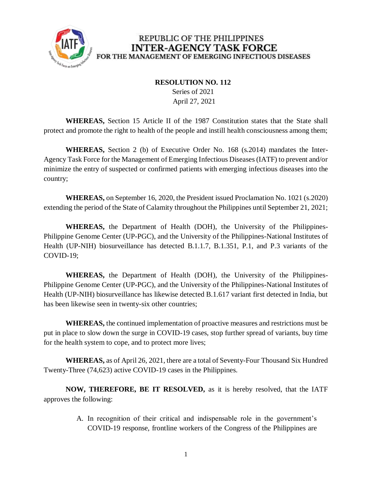

#### REPUBLIC OF THE PHILIPPINES **INTER-AGENCY TASK FORCE** FOR THE MANAGEMENT OF EMERGING INFECTIOUS DISEASES

#### **RESOLUTION NO. 112**

 Series of 2021 April 27, 2021

**WHEREAS,** Section 15 Article II of the 1987 Constitution states that the State shall protect and promote the right to health of the people and instill health consciousness among them;

**WHEREAS,** Section 2 (b) of Executive Order No. 168 (s.2014) mandates the Inter-Agency Task Force for the Management of Emerging Infectious Diseases (IATF) to prevent and/or minimize the entry of suspected or confirmed patients with emerging infectious diseases into the country;

**WHEREAS,** on September 16, 2020, the President issued Proclamation No. 1021 (s.2020) extending the period of the State of Calamity throughout the Philippines until September 21, 2021;

**WHEREAS,** the Department of Health (DOH), the University of the Philippines-Philippine Genome Center (UP-PGC), and the University of the Philippines-National Institutes of Health (UP-NIH) biosurveillance has detected B.1.1.7, B.1.351, P.1, and P.3 variants of the COVID-19;

**WHEREAS,** the Department of Health (DOH), the University of the Philippines-Philippine Genome Center (UP-PGC), and the University of the Philippines-National Institutes of Health (UP-NIH) biosurveillance has likewise detected B.1.617 variant first detected in India, but has been likewise seen in twenty-six other countries;

**WHEREAS,** the continued implementation of proactive measures and restrictions must be put in place to slow down the surge in COVID-19 cases, stop further spread of variants, buy time for the health system to cope, and to protect more lives;

**WHEREAS,** as of April 26, 2021, there are a total of Seventy-Four Thousand Six Hundred Twenty-Three (74,623) active COVID-19 cases in the Philippines.

**NOW, THEREFORE, BE IT RESOLVED,** as it is hereby resolved, that the IATF approves the following:

> A. In recognition of their critical and indispensable role in the government's COVID-19 response, frontline workers of the Congress of the Philippines are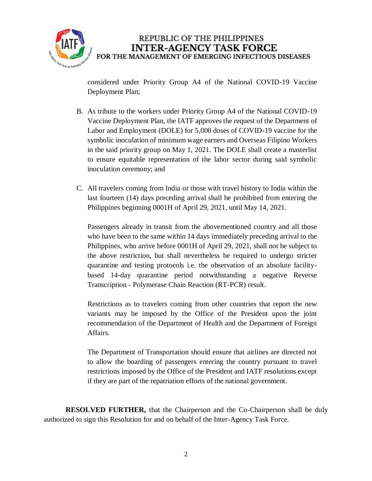

considered under Priority Group A4 of the National COVID-19 Vaccine Deployment Plan;

- B. As tribute to the workers under Priority Group A4 of the National COVID-19 Vaccine Deployment Plan, the IATF approves the request of the Department of Labor and Employment (DOLE) for 5,000 doses of COVID-19 vaccine for the symbolic inoculation of minimum wage earners and Overseas Filipino Workers in the said priority group on May 1, 2021. The DOLE shall create a masterlist to ensure equitable representation of the labor sector during said symbolic inoculation ceremony; and
- C. All travelers coming from India or those with travel history to India within the last fourteen (14) days preceding arrival shall be prohibited from entering the Philippines beginning 0001H of April 29, 2021, until May 14, 2021.

Passengers already in transit from the abovementioned country and all those who have been to the same within 14 days immediately preceding arrival to the Philippines, who arrive before 0001H of April 29, 2021, shall not be subject to the above restriction, but shall nevertheless be required to undergo stricter quarantine and testing protocols i.e. the observation of an absolute facilitybased 14-day quarantine period notwithstanding a negative Reverse Transcription - Polymerase Chain Reaction (RT-PCR) result.

Restrictions as to travelers coming from other countries that report the new variants may be imposed by the Office of the President upon the joint recommendation of the Department of Health and the Department of Foreign Affairs.

The Department of Transportation should ensure that airlines are directed not to allow the boarding of passengers entering the country pursuant to travel restrictions imposed by the Office of the President and IATF resolutions except if they are part of the repatriation efforts of the national government.

**RESOLVED FURTHER,** that the Chairperson and the Co-Chairperson shall be duly authorized to sign this Resolution for and on behalf of the Inter-Agency Task Force.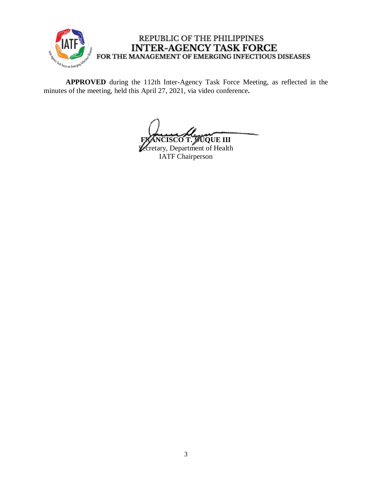

## REPUBLIC OF THE PHILIPPINES **INTER-AGENCY TASK FORCE** FOR THE MANAGEMENT OF EMERGING INFECTIOUS DISEASES

**APPROVED** during the 112th Inter-Agency Task Force Meeting, as reflected in the minutes of the meeting, held this April 27, 2021, via video conference**.**

**FIRECO T. DUQUE III** 

**Vecretary**, Department of Health IATF Chairperson